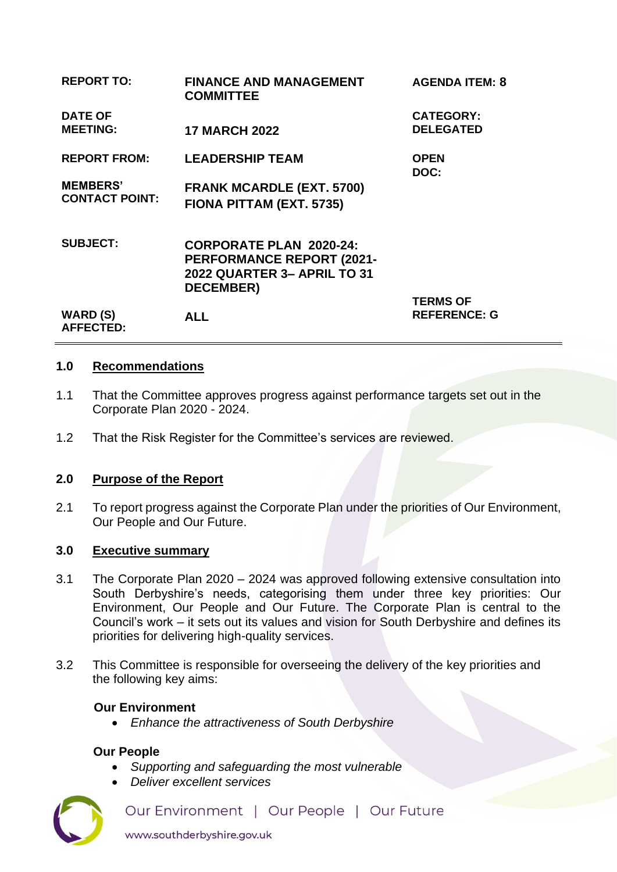| <b>REPORT TO:</b>                        | <b>FINANCE AND MANAGEMENT</b><br><b>COMMITTEE</b>                                                                            | <b>AGENDA ITEM: 8</b>                |
|------------------------------------------|------------------------------------------------------------------------------------------------------------------------------|--------------------------------------|
| <b>DATE OF</b><br><b>MEETING:</b>        | <b>17 MARCH 2022</b>                                                                                                         | <b>CATEGORY:</b><br><b>DELEGATED</b> |
| <b>REPORT FROM:</b>                      | <b>LEADERSHIP TEAM</b>                                                                                                       | <b>OPEN</b><br>DOC:                  |
| <b>MEMBERS'</b><br><b>CONTACT POINT:</b> | <b>FRANK MCARDLE (EXT. 5700)</b><br>FIONA PITTAM (EXT. 5735)                                                                 |                                      |
| <b>SUBJECT:</b>                          | <b>CORPORATE PLAN 2020-24:</b><br><b>PERFORMANCE REPORT (2021-</b><br><b>2022 QUARTER 3- APRIL TO 31</b><br><b>DECEMBER)</b> | <b>TERMS OF</b>                      |
| <b>WARD (S)</b><br><b>AFFECTED:</b>      | <b>ALL</b>                                                                                                                   | <b>REFERENCE: G</b>                  |

#### **1.0 Recommendations**

- 1.1 That the Committee approves progress against performance targets set out in the Corporate Plan 2020 - 2024.
- 1.2 That the Risk Register for the Committee's services are reviewed.

## **2.0 Purpose of the Report**

2.1 To report progress against the Corporate Plan under the priorities of Our Environment, Our People and Our Future.

#### **3.0 Executive summary**

- 3.1 The Corporate Plan 2020 2024 was approved following extensive consultation into South Derbyshire's needs, categorising them under three key priorities: Our Environment, Our People and Our Future. The Corporate Plan is central to the Council's work – it sets out its values and vision for South Derbyshire and defines its priorities for delivering high-quality services.
- 3.2 This Committee is responsible for overseeing the delivery of the key priorities and the following key aims:

## **Our Environment**

• *Enhance the attractiveness of South Derbyshire* 

#### **Our People**

- *Supporting and safeguarding the most vulnerable*
- *Deliver excellent services*

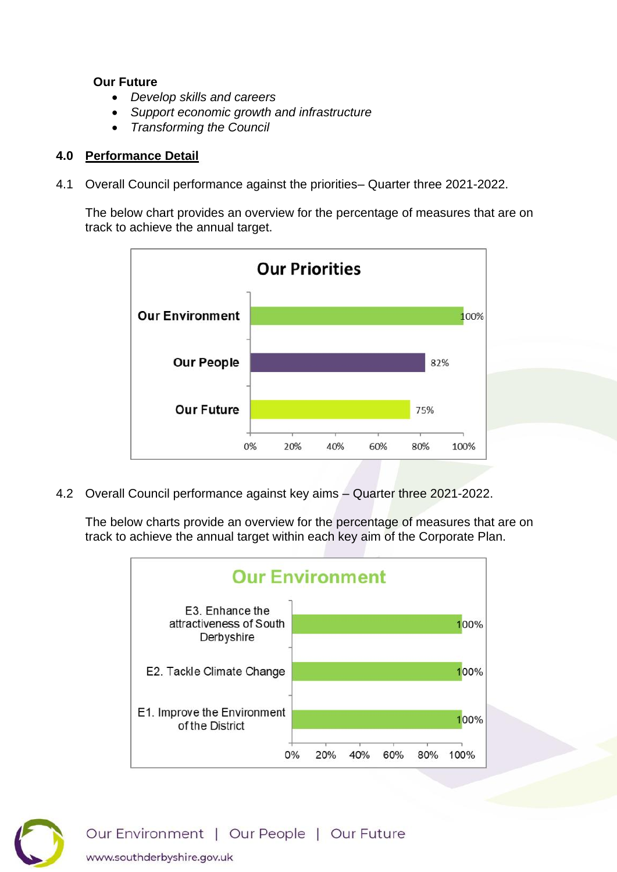#### **Our Future**

- *Develop skills and careers*
- *Support economic growth and infrastructure*
- *Transforming the Council*

## **4.0 Performance Detail**

4.1 Overall Council performance against the priorities– Quarter three 2021-2022.

The below chart provides an overview for the percentage of measures that are on track to achieve the annual target.



4.2 Overall Council performance against key aims – Quarter three 2021-2022.

The below charts provide an overview for the percentage of measures that are on track to achieve the annual target within each key aim of the Corporate Plan.



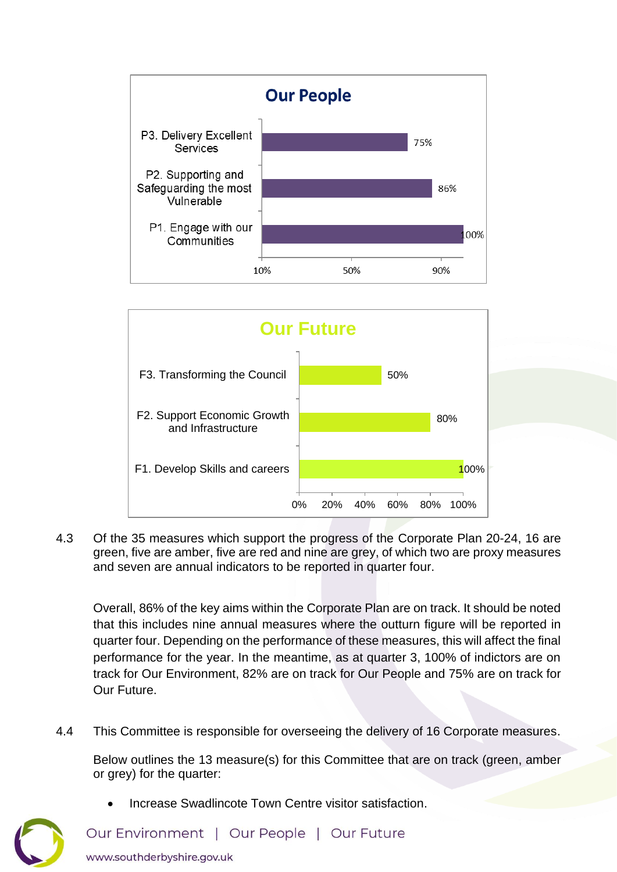



4.3 Of the 35 measures which support the progress of the Corporate Plan 20-24, 16 are green, five are amber, five are red and nine are grey, of which two are proxy measures and seven are annual indicators to be reported in quarter four.

Overall, 86% of the key aims within the Corporate Plan are on track. It should be noted that this includes nine annual measures where the outturn figure will be reported in quarter four. Depending on the performance of these measures, this will affect the final performance for the year. In the meantime, as at quarter 3, 100% of indictors are on track for Our Environment, 82% are on track for Our People and 75% are on track for Our Future.

4.4 This Committee is responsible for overseeing the delivery of 16 Corporate measures.

Below outlines the 13 measure(s) for this Committee that are on track (green, amber or grey) for the quarter:

- 
- Increase Swadlincote Town Centre visitor satisfaction.

Our Environment | Our People | Our Future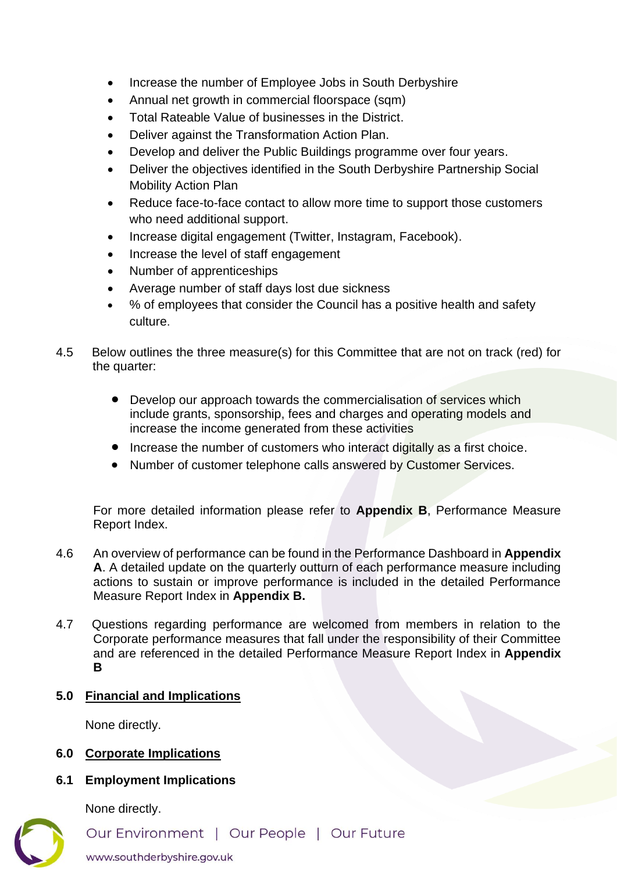- Increase the number of Employee Jobs in South Derbyshire
- Annual net growth in commercial floorspace (sqm)
- Total Rateable Value of businesses in the District.
- [Deliver against the Transformation Action Plan.](https://southderbyshiregovuk.sharepoint.com/:w:/g/EWygLyTFirlHupC7gA2GUHQBxytpxB_EWezcDzPs8xKAjQ?e=m7zrdc)
- Develop and deliver the Public Buildings programme over four years.
- Deliver the objectives identified in the South Derbyshire Partnership Social Mobility Action Plan
- [Reduce face-to-face contact to allow more time to support those customers](https://southderbyshiregovuk.sharepoint.com/:w:/g/ERsK_2eQOEFCtLQbdQzaTuAByPro1sawtMCs4YszErr-pw?e=bdTysg)  [who need additional support.](https://southderbyshiregovuk.sharepoint.com/:w:/g/ERsK_2eQOEFCtLQbdQzaTuAByPro1sawtMCs4YszErr-pw?e=bdTysg)
- [Increase digital engagement \(Twitter, Instagram, Facebook\).](https://southderbyshiregovuk.sharepoint.com/:w:/g/EU7_hHmehltAqnFXv5MZTVMBldRppq-lEM681waYAZKfIA?e=fKJfsc)
- Increase the level of staff engagement
- Number of apprenticeships
- Average number of staff days lost due sickness
- % of employees that consider the Council has a positive health and safety culture.
- 4.5 Below outlines the three measure(s) for this Committee that are not on track (red) for the quarter:
	- Develop our approach towards the commercialisation of services which [include grants, sponsorship, fees and charges and operating models and](https://southderbyshiregovuk.sharepoint.com/:w:/g/EdRZL78XqTBHpZm4ut-IXvcBQqZMtxcigHIZvBKTBciDAg?e=PfK6EA)  [increase the income generated from these activities](https://southderbyshiregovuk.sharepoint.com/:w:/g/EdRZL78XqTBHpZm4ut-IXvcBQqZMtxcigHIZvBKTBciDAg?e=PfK6EA)
	- [Increase the number of customers who interact digitally as a first choice.](https://southderbyshiregovuk.sharepoint.com/:w:/g/ERBlXwIN5i9It53WD-41148B1j_Xhoszu9rFmw-my7ct_w?e=3axgeV)
	- Number of customer telephone calls answered by Customer Services.

For more detailed information please refer to **Appendix B**, Performance Measure Report Index.

- 4.6 An overview of performance can be found in the Performance Dashboard in **Appendix A**. A detailed update on the quarterly outturn of each performance measure including actions to sustain or improve performance is included in the detailed Performance Measure Report Index in **Appendix B.**
- 4.7 Questions regarding performance are welcomed from members in relation to the Corporate performance measures that fall under the responsibility of their Committee and are referenced in the detailed Performance Measure Report Index in **Appendix B**

## **5.0 Financial and Implications**

None directly.

## **6.0 Corporate Implications**

## **6.1 Employment Implications**

None directly.



Our Environment | Our People | Our Future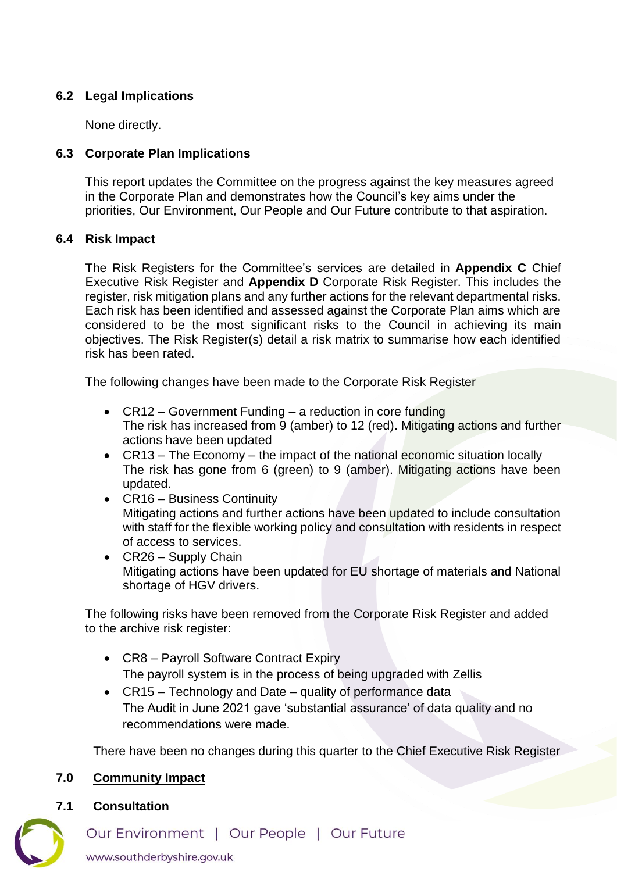# **6.2 Legal Implications**

None directly.

# **6.3 Corporate Plan Implications**

This report updates the Committee on the progress against the key measures agreed in the Corporate Plan and demonstrates how the Council's key aims under the priorities, Our Environment, Our People and Our Future contribute to that aspiration.

## **6.4 Risk Impact**

The Risk Registers for the Committee's services are detailed in **Appendix C** Chief Executive Risk Register and **Appendix D** Corporate Risk Register. This includes the register, risk mitigation plans and any further actions for the relevant departmental risks. Each risk has been identified and assessed against the Corporate Plan aims which are considered to be the most significant risks to the Council in achieving its main objectives. The Risk Register(s) detail a risk matrix to summarise how each identified risk has been rated.

The following changes have been made to the Corporate Risk Register

- CR12 Government Funding a reduction in core funding The risk has increased from 9 (amber) to 12 (red). Mitigating actions and further actions have been updated
- CR13 The Economy the impact of the national economic situation locally The risk has gone from 6 (green) to 9 (amber). Mitigating actions have been updated.
- CR16 Business Continuity Mitigating actions and further actions have been updated to include consultation with staff for the flexible working policy and consultation with residents in respect of access to services.
- CR26 Supply Chain Mitigating actions have been updated for EU shortage of materials and National shortage of HGV drivers.

The following risks have been removed from the Corporate Risk Register and added to the archive risk register:

- CR8 Payroll Software Contract Expiry The payroll system is in the process of being upgraded with Zellis
- CR15 Technology and Date quality of performance data The Audit in June 2021 gave 'substantial assurance' of data quality and no recommendations were made.

There have been no changes during this quarter to the Chief Executive Risk Register

## **7.0 Community Impact**

**7.1 Consultation**



Our Environment | Our People | Our Future